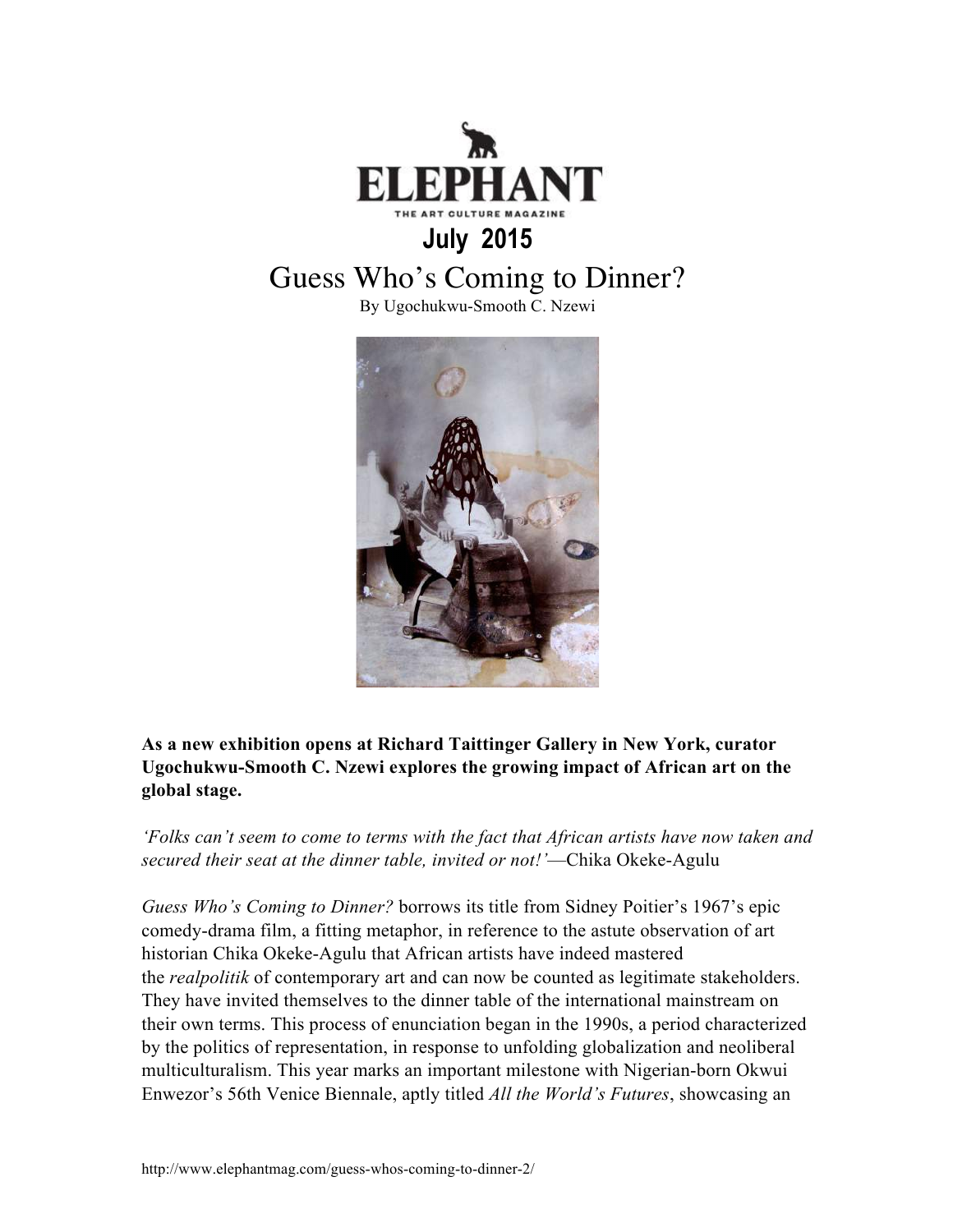

## **July 2015**

## Guess Who's Coming to Dinner?

By Ugochukwu-Smooth C. Nzewi



## **As a new exhibition opens at Richard Taittinger Gallery in New York, curator Ugochukwu-Smooth C. Nzewi explores the growing impact of African art on the global stage.**

*'Folks can't seem to come to terms with the fact that African artists have now taken and secured their seat at the dinner table, invited or not!'*—Chika Okeke-Agulu

*Guess Who's Coming to Dinner?* borrows its title from Sidney Poitier's 1967's epic comedy-drama film, a fitting metaphor, in reference to the astute observation of art historian Chika Okeke-Agulu that African artists have indeed mastered the *realpolitik* of contemporary art and can now be counted as legitimate stakeholders. They have invited themselves to the dinner table of the international mainstream on their own terms. This process of enunciation began in the 1990s, a period characterized by the politics of representation, in response to unfolding globalization and neoliberal multiculturalism. This year marks an important milestone with Nigerian-born Okwui Enwezor's 56th Venice Biennale, aptly titled *All the World's Futures*, showcasing an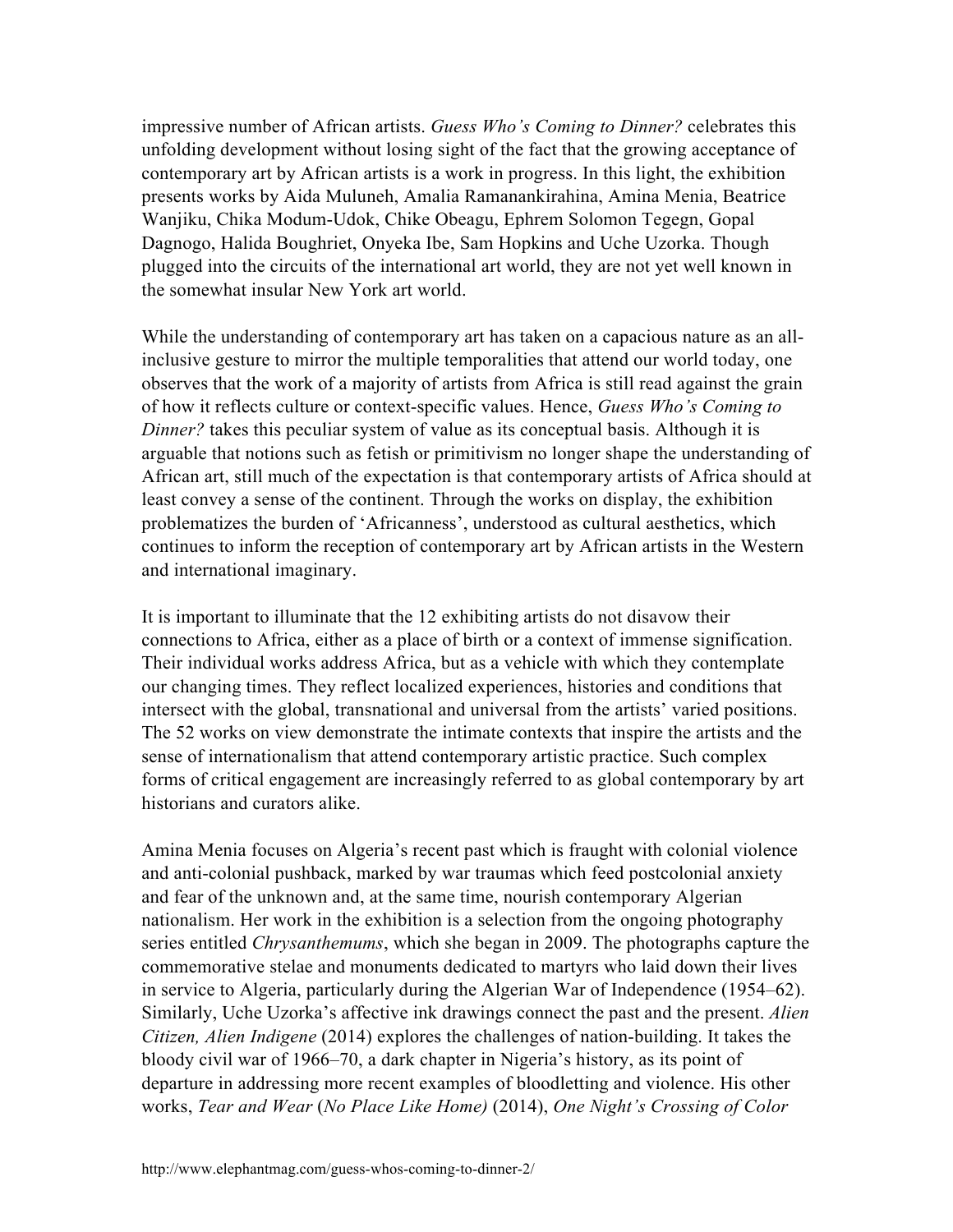impressive number of African artists. *Guess Who's Coming to Dinner?* celebrates this unfolding development without losing sight of the fact that the growing acceptance of contemporary art by African artists is a work in progress. In this light, the exhibition presents works by Aida Muluneh, Amalia Ramanankirahina, Amina Menia, Beatrice Wanjiku, Chika Modum-Udok, Chike Obeagu, Ephrem Solomon Tegegn, Gopal Dagnogo, Halida Boughriet, Onyeka Ibe, Sam Hopkins and Uche Uzorka. Though plugged into the circuits of the international art world, they are not yet well known in the somewhat insular New York art world.

While the understanding of contemporary art has taken on a capacious nature as an allinclusive gesture to mirror the multiple temporalities that attend our world today, one observes that the work of a majority of artists from Africa is still read against the grain of how it reflects culture or context-specific values. Hence, *Guess Who's Coming to Dinner?* takes this peculiar system of value as its conceptual basis. Although it is arguable that notions such as fetish or primitivism no longer shape the understanding of African art, still much of the expectation is that contemporary artists of Africa should at least convey a sense of the continent. Through the works on display, the exhibition problematizes the burden of 'Africanness', understood as cultural aesthetics, which continues to inform the reception of contemporary art by African artists in the Western and international imaginary.

It is important to illuminate that the 12 exhibiting artists do not disavow their connections to Africa, either as a place of birth or a context of immense signification. Their individual works address Africa, but as a vehicle with which they contemplate our changing times. They reflect localized experiences, histories and conditions that intersect with the global, transnational and universal from the artists' varied positions. The 52 works on view demonstrate the intimate contexts that inspire the artists and the sense of internationalism that attend contemporary artistic practice. Such complex forms of critical engagement are increasingly referred to as global contemporary by art historians and curators alike.

Amina Menia focuses on Algeria's recent past which is fraught with colonial violence and anti-colonial pushback, marked by war traumas which feed postcolonial anxiety and fear of the unknown and, at the same time, nourish contemporary Algerian nationalism. Her work in the exhibition is a selection from the ongoing photography series entitled *Chrysanthemums*, which she began in 2009. The photographs capture the commemorative stelae and monuments dedicated to martyrs who laid down their lives in service to Algeria, particularly during the Algerian War of Independence (1954–62). Similarly, Uche Uzorka's affective ink drawings connect the past and the present. *Alien Citizen, Alien Indigene* (2014) explores the challenges of nation-building. It takes the bloody civil war of 1966–70, a dark chapter in Nigeria's history, as its point of departure in addressing more recent examples of bloodletting and violence. His other works, *Tear and Wear* (*No Place Like Home)* (2014), *One Night's Crossing of Color*